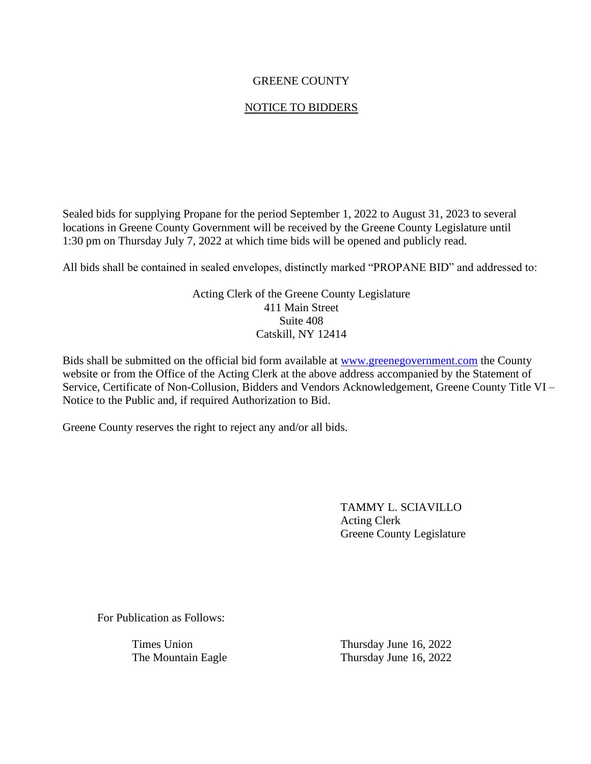## GREENE COUNTY

## NOTICE TO BIDDERS

Sealed bids for supplying Propane for the period September 1, 2022 to August 31, 2023 to several locations in Greene County Government will be received by the Greene County Legislature until 1:30 pm on Thursday July 7, 2022 at which time bids will be opened and publicly read.

All bids shall be contained in sealed envelopes, distinctly marked "PROPANE BID" and addressed to:

Acting Clerk of the Greene County Legislature 411 Main Street Suite 408 Catskill, NY 12414

Bids shall be submitted on the official bid form available at [www.greenegovernment.com](http://www.greenegovernment.com/) the County website or from the Office of the Acting Clerk at the above address accompanied by the Statement of Service, Certificate of Non-Collusion, Bidders and Vendors Acknowledgement, Greene County Title VI – Notice to the Public and, if required Authorization to Bid.

Greene County reserves the right to reject any and/or all bids.

TAMMY L. SCIAVILLO Acting Clerk Greene County Legislature

For Publication as Follows:

Times Union Thursday June 16, 2022 The Mountain Eagle Thursday June 16, 2022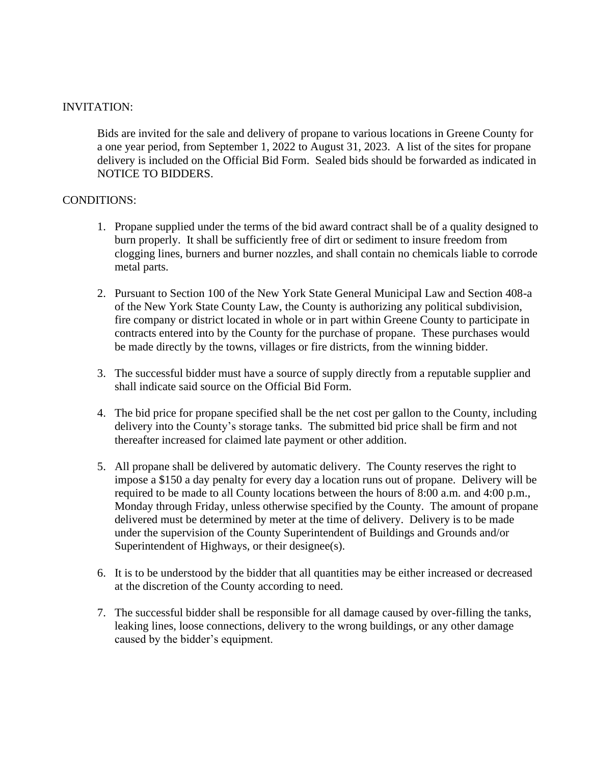#### INVITATION:

Bids are invited for the sale and delivery of propane to various locations in Greene County for a one year period, from September 1, 2022 to August 31, 2023. A list of the sites for propane delivery is included on the Official Bid Form. Sealed bids should be forwarded as indicated in NOTICE TO BIDDERS.

#### CONDITIONS:

- 1. Propane supplied under the terms of the bid award contract shall be of a quality designed to burn properly. It shall be sufficiently free of dirt or sediment to insure freedom from clogging lines, burners and burner nozzles, and shall contain no chemicals liable to corrode metal parts.
- 2. Pursuant to Section 100 of the New York State General Municipal Law and Section 408-a of the New York State County Law, the County is authorizing any political subdivision, fire company or district located in whole or in part within Greene County to participate in contracts entered into by the County for the purchase of propane. These purchases would be made directly by the towns, villages or fire districts, from the winning bidder.
- 3. The successful bidder must have a source of supply directly from a reputable supplier and shall indicate said source on the Official Bid Form.
- 4. The bid price for propane specified shall be the net cost per gallon to the County, including delivery into the County's storage tanks. The submitted bid price shall be firm and not thereafter increased for claimed late payment or other addition.
- 5. All propane shall be delivered by automatic delivery. The County reserves the right to impose a \$150 a day penalty for every day a location runs out of propane. Delivery will be required to be made to all County locations between the hours of 8:00 a.m. and 4:00 p.m., Monday through Friday, unless otherwise specified by the County. The amount of propane delivered must be determined by meter at the time of delivery. Delivery is to be made under the supervision of the County Superintendent of Buildings and Grounds and/or Superintendent of Highways, or their designee(s).
- 6. It is to be understood by the bidder that all quantities may be either increased or decreased at the discretion of the County according to need.
- 7. The successful bidder shall be responsible for all damage caused by over-filling the tanks, leaking lines, loose connections, delivery to the wrong buildings, or any other damage caused by the bidder's equipment.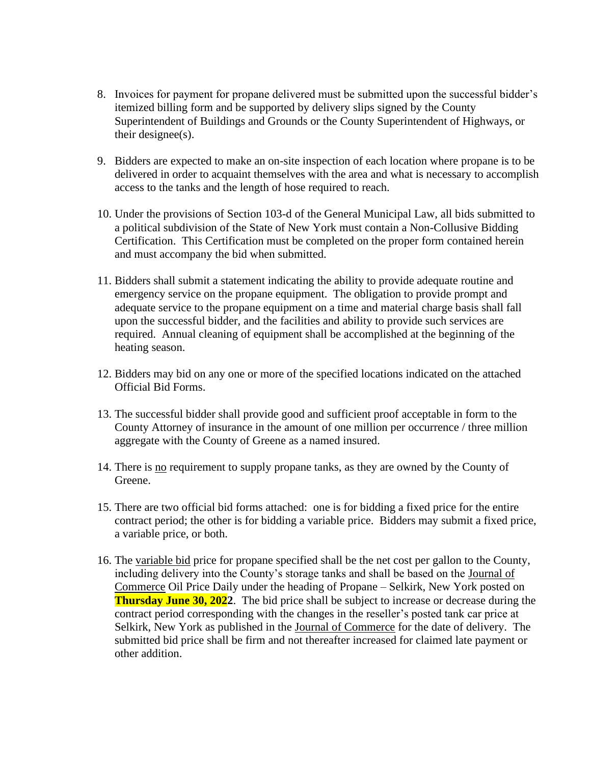- 8. Invoices for payment for propane delivered must be submitted upon the successful bidder's itemized billing form and be supported by delivery slips signed by the County Superintendent of Buildings and Grounds or the County Superintendent of Highways, or their designee(s).
- 9. Bidders are expected to make an on-site inspection of each location where propane is to be delivered in order to acquaint themselves with the area and what is necessary to accomplish access to the tanks and the length of hose required to reach.
- 10. Under the provisions of Section 103-d of the General Municipal Law, all bids submitted to a political subdivision of the State of New York must contain a Non-Collusive Bidding Certification. This Certification must be completed on the proper form contained herein and must accompany the bid when submitted.
- 11. Bidders shall submit a statement indicating the ability to provide adequate routine and emergency service on the propane equipment. The obligation to provide prompt and adequate service to the propane equipment on a time and material charge basis shall fall upon the successful bidder, and the facilities and ability to provide such services are required. Annual cleaning of equipment shall be accomplished at the beginning of the heating season.
- 12. Bidders may bid on any one or more of the specified locations indicated on the attached Official Bid Forms.
- 13. The successful bidder shall provide good and sufficient proof acceptable in form to the County Attorney of insurance in the amount of one million per occurrence / three million aggregate with the County of Greene as a named insured.
- 14. There is no requirement to supply propane tanks, as they are owned by the County of Greene.
- 15. There are two official bid forms attached: one is for bidding a fixed price for the entire contract period; the other is for bidding a variable price. Bidders may submit a fixed price, a variable price, or both.
- 16. The variable bid price for propane specified shall be the net cost per gallon to the County, including delivery into the County's storage tanks and shall be based on the Journal of Commerce Oil Price Daily under the heading of Propane – Selkirk, New York posted on **Thursday June 30, 2022**. The bid price shall be subject to increase or decrease during the contract period corresponding with the changes in the reseller's posted tank car price at Selkirk, New York as published in the Journal of Commerce for the date of delivery. The submitted bid price shall be firm and not thereafter increased for claimed late payment or other addition.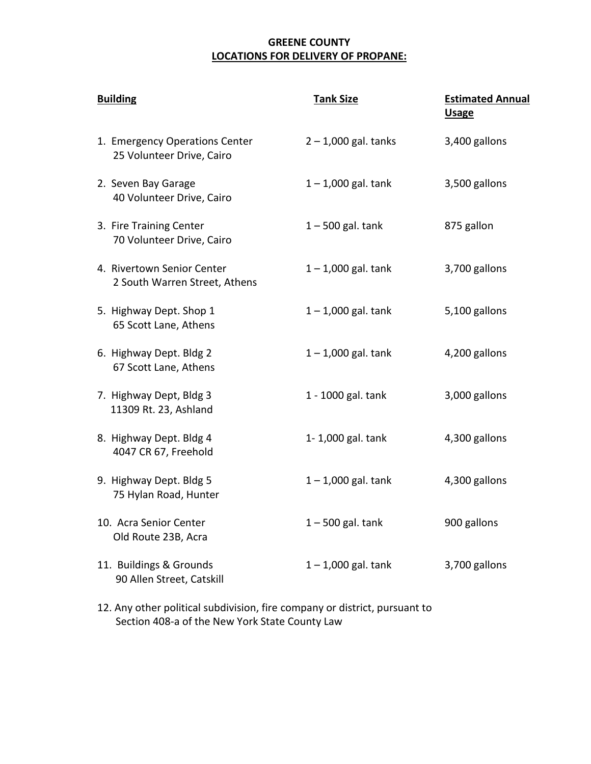## **GREENE COUNTY LOCATIONS FOR DELIVERY OF PROPANE:**

| <b>Building</b>                                             | <b>Tank Size</b>       | <b>Estimated Annual</b><br><b>Usage</b> |
|-------------------------------------------------------------|------------------------|-----------------------------------------|
| 1. Emergency Operations Center<br>25 Volunteer Drive, Cairo | $2 - 1,000$ gal. tanks | 3,400 gallons                           |
| 2. Seven Bay Garage<br>40 Volunteer Drive, Cairo            | $1 - 1,000$ gal. tank  | 3,500 gallons                           |
| 3. Fire Training Center<br>70 Volunteer Drive, Cairo        | $1 - 500$ gal. tank    | 875 gallon                              |
| 4. Rivertown Senior Center<br>2 South Warren Street, Athens | $1 - 1,000$ gal. tank  | 3,700 gallons                           |
| 5. Highway Dept. Shop 1<br>65 Scott Lane, Athens            | $1 - 1,000$ gal. tank  | 5,100 gallons                           |
| 6. Highway Dept. Bldg 2<br>67 Scott Lane, Athens            | $1 - 1,000$ gal. tank  | 4,200 gallons                           |
| 7. Highway Dept, Bldg 3<br>11309 Rt. 23, Ashland            | 1 - 1000 gal. tank     | 3,000 gallons                           |
| 8. Highway Dept. Bldg 4<br>4047 CR 67, Freehold             | 1-1,000 gal. tank      | 4,300 gallons                           |
| 9. Highway Dept. Bldg 5<br>75 Hylan Road, Hunter            | $1 - 1,000$ gal. tank  | 4,300 gallons                           |
| 10. Acra Senior Center<br>Old Route 23B, Acra               | $1 - 500$ gal. tank    | 900 gallons                             |
| 11. Buildings & Grounds<br>90 Allen Street, Catskill        | $1 - 1,000$ gal. tank  | 3,700 gallons                           |

12. Any other political subdivision, fire company or district, pursuant to Section 408-a of the New York State County Law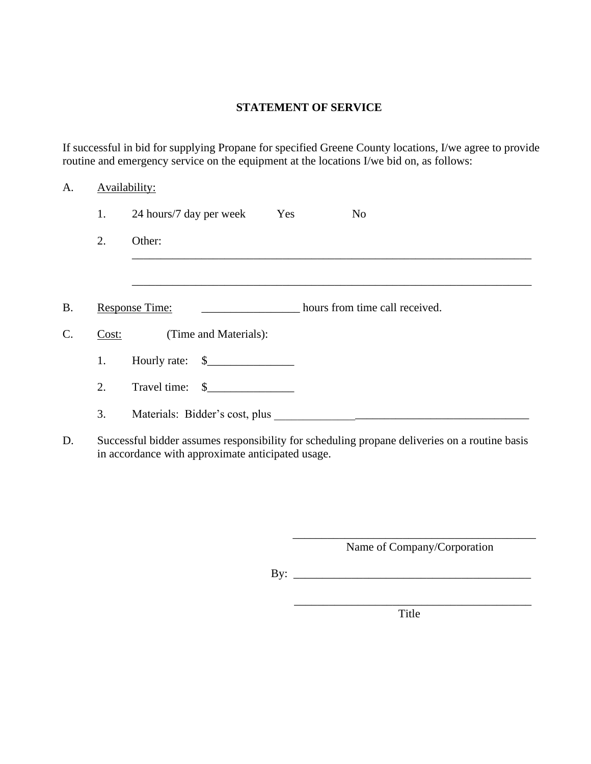## **STATEMENT OF SERVICE**

If successful in bid for supplying Propane for specified Greene County locations, I/we agree to provide routine and emergency service on the equipment at the locations I/we bid on, as follows:

## A. **Availability:**

|    | 1.    | 24 hours/7 day per week Yes<br>N <sub>o</sub>    |
|----|-------|--------------------------------------------------|
|    | 2.    | Other:                                           |
|    |       |                                                  |
| B. |       | hours from time call received.<br>Response Time: |
| C. | Cost: | (Time and Materials):                            |
|    | 1.    | Hourly rate: $\quad \quad \text{\_}$             |
|    | 2.    | Travel time: \$                                  |
|    | 3.    |                                                  |
| r. |       |                                                  |

D. Successful bidder assumes responsibility for scheduling propane deliveries on a routine basis in accordance with approximate anticipated usage.

> \_\_\_\_\_\_\_\_\_\_\_\_\_\_\_\_\_\_\_\_\_\_\_\_\_\_\_\_\_\_\_\_\_\_\_\_\_\_\_\_\_\_ Name of Company/Corporation

By: \_\_\_\_\_\_\_\_\_\_\_\_\_\_\_\_\_\_\_\_\_\_\_\_\_\_\_\_\_\_\_\_\_\_\_\_\_\_\_\_\_

\_\_\_\_\_\_\_\_\_\_\_\_\_\_\_\_\_\_\_\_\_\_\_\_\_\_\_\_\_\_\_\_\_\_\_\_\_\_\_\_\_

Title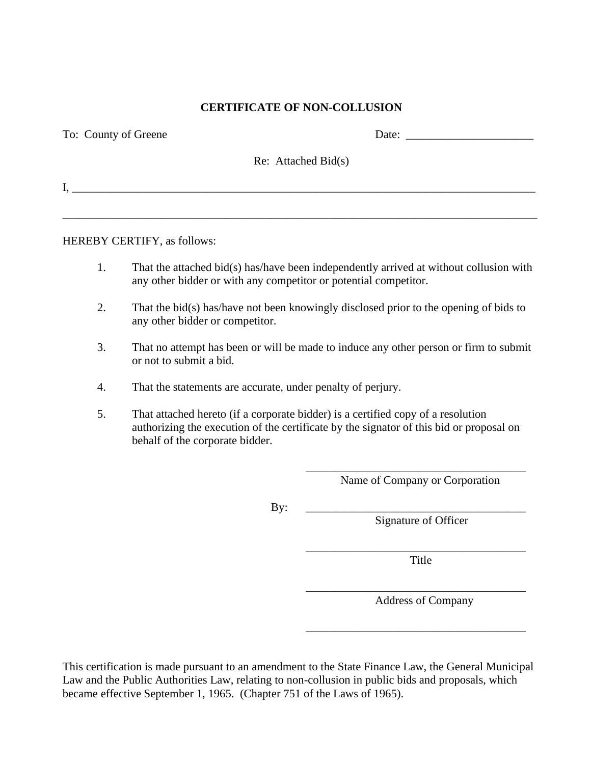#### **CERTIFICATE OF NON-COLLUSION**

| To: County of Greene | Date: the contract of the contract of the contract of the contract of the contract of the contract of the contract of the contract of the contract of the contract of the contract of the contract of the contract of the cont |  |
|----------------------|--------------------------------------------------------------------------------------------------------------------------------------------------------------------------------------------------------------------------------|--|
|                      | $\text{Re: Attached Bid}(s)$                                                                                                                                                                                                   |  |
|                      |                                                                                                                                                                                                                                |  |
|                      |                                                                                                                                                                                                                                |  |

HEREBY CERTIFY, as follows:

- 1. That the attached bid(s) has/have been independently arrived at without collusion with any other bidder or with any competitor or potential competitor.
- 2. That the bid(s) has/have not been knowingly disclosed prior to the opening of bids to any other bidder or competitor.
- 3. That no attempt has been or will be made to induce any other person or firm to submit or not to submit a bid.
- 4. That the statements are accurate, under penalty of perjury.
- 5. That attached hereto (if a corporate bidder) is a certified copy of a resolution authorizing the execution of the certificate by the signator of this bid or proposal on behalf of the corporate bidder.

\_\_\_\_\_\_\_\_\_\_\_\_\_\_\_\_\_\_\_\_\_\_\_\_\_\_\_\_\_\_\_\_\_\_\_\_\_\_ Name of Company or Corporation

By: \_\_\_\_\_\_\_\_\_\_\_\_\_\_\_\_\_\_\_\_\_\_\_\_\_\_\_\_\_\_\_\_\_\_\_\_\_\_

Signature of Officer

\_\_\_\_\_\_\_\_\_\_\_\_\_\_\_\_\_\_\_\_\_\_\_\_\_\_\_\_\_\_\_\_\_\_\_\_\_\_ Title

\_\_\_\_\_\_\_\_\_\_\_\_\_\_\_\_\_\_\_\_\_\_\_\_\_\_\_\_\_\_\_\_\_\_\_\_\_\_

\_\_\_\_\_\_\_\_\_\_\_\_\_\_\_\_\_\_\_\_\_\_\_\_\_\_\_\_\_\_\_\_\_\_\_\_\_\_

Address of Company

This certification is made pursuant to an amendment to the State Finance Law, the General Municipal Law and the Public Authorities Law, relating to non-collusion in public bids and proposals, which became effective September 1, 1965. (Chapter 751 of the Laws of 1965).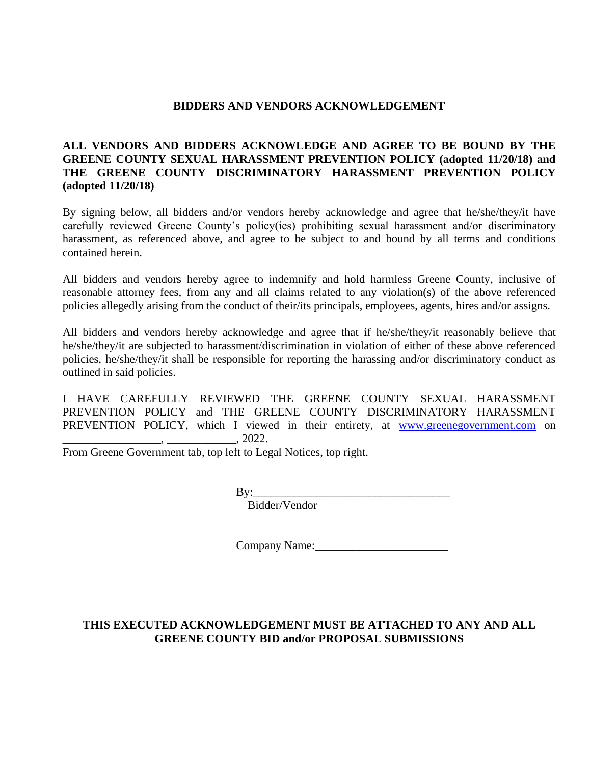#### **BIDDERS AND VENDORS ACKNOWLEDGEMENT**

## **ALL VENDORS AND BIDDERS ACKNOWLEDGE AND AGREE TO BE BOUND BY THE GREENE COUNTY SEXUAL HARASSMENT PREVENTION POLICY (adopted 11/20/18) and THE GREENE COUNTY DISCRIMINATORY HARASSMENT PREVENTION POLICY (adopted 11/20/18)**

By signing below, all bidders and/or vendors hereby acknowledge and agree that he/she/they/it have carefully reviewed Greene County's policy(ies) prohibiting sexual harassment and/or discriminatory harassment, as referenced above, and agree to be subject to and bound by all terms and conditions contained herein.

All bidders and vendors hereby agree to indemnify and hold harmless Greene County, inclusive of reasonable attorney fees, from any and all claims related to any violation(s) of the above referenced policies allegedly arising from the conduct of their/its principals, employees, agents, hires and/or assigns.

All bidders and vendors hereby acknowledge and agree that if he/she/they/it reasonably believe that he/she/they/it are subjected to harassment/discrimination in violation of either of these above referenced policies, he/she/they/it shall be responsible for reporting the harassing and/or discriminatory conduct as outlined in said policies.

I HAVE CAREFULLY REVIEWED THE GREENE COUNTY SEXUAL HARASSMENT PREVENTION POLICY and THE GREENE COUNTY DISCRIMINATORY HARASSMENT PREVENTION POLICY, which I viewed in their entirety, at [www.greenegovernment.com](http://www.greenegovernment.com/) on \_\_\_\_\_\_\_\_\_\_\_\_\_\_\_\_\_, \_\_\_\_\_\_\_\_\_\_\_\_, 2022.

From Greene Government tab, top left to Legal Notices, top right.

 $\mathbf{B} \mathbf{y}$ :

Bidder/Vendor

Company Name:\_\_\_\_\_\_\_\_\_\_\_\_\_\_\_\_\_\_\_\_\_\_\_

## **THIS EXECUTED ACKNOWLEDGEMENT MUST BE ATTACHED TO ANY AND ALL GREENE COUNTY BID and/or PROPOSAL SUBMISSIONS**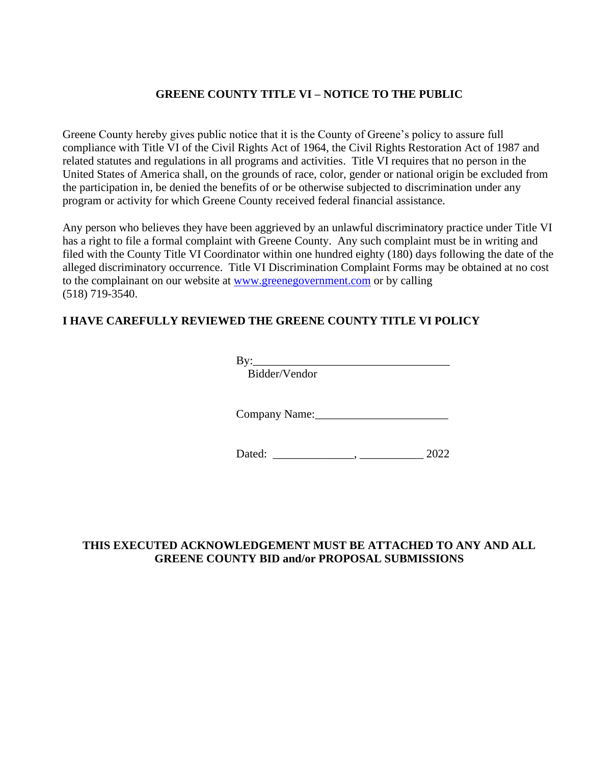## **GREENE COUNTY TITLE VI – NOTICE TO THE PUBLIC**

Greene County hereby gives public notice that it is the County of Greene's policy to assure full compliance with Title VI of the Civil Rights Act of 1964, the Civil Rights Restoration Act of 1987 and related statutes and regulations in all programs and activities. Title VI requires that no person in the United States of America shall, on the grounds of race, color, gender or national origin be excluded from the participation in, be denied the benefits of or be otherwise subjected to discrimination under any program or activity for which Greene County received federal financial assistance.

Any person who believes they have been aggrieved by an unlawful discriminatory practice under Title VI has a right to file a formal complaint with Greene County. Any such complaint must be in writing and filed with the County Title VI Coordinator within one hundred eighty (180) days following the date of the alleged discriminatory occurrence. Title VI Discrimination Complaint Forms may be obtained at no cost to the complainant on our website at [www.greenegovernment.com](http://www.greenegovernment.com/) or by calling (518) 719-3540.

## **I HAVE CAREFULLY REVIEWED THE GREENE COUNTY TITLE VI POLICY**

By:\_\_\_\_\_\_\_\_\_\_\_\_\_\_\_\_\_\_\_\_\_\_\_\_\_\_\_\_\_\_\_\_\_\_

Bidder/Vendor

Company Name:

Dated: \_\_\_\_\_\_\_\_\_\_\_\_\_\_\_, \_\_\_\_\_\_\_\_\_\_\_\_\_\_\_\_\_\_ 2022

## **THIS EXECUTED ACKNOWLEDGEMENT MUST BE ATTACHED TO ANY AND ALL GREENE COUNTY BID and/or PROPOSAL SUBMISSIONS**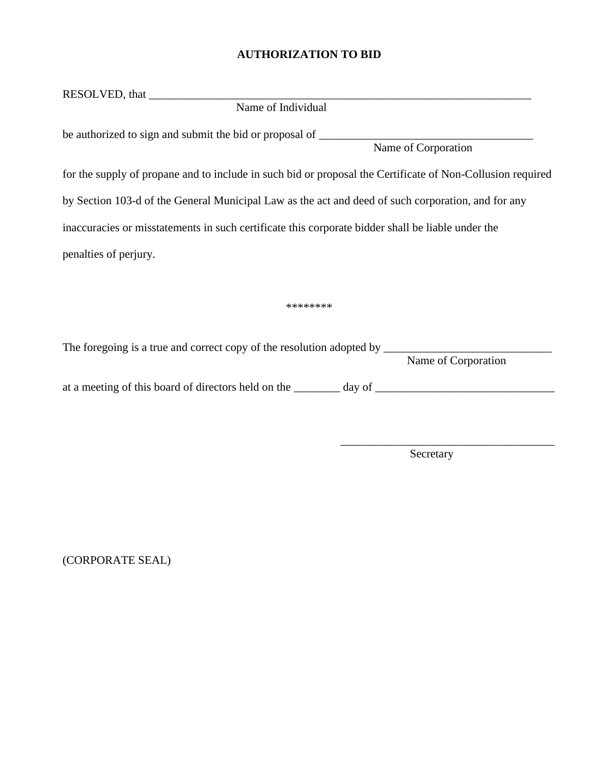## **AUTHORIZATION TO BID**

| Name of Individual                                                                                         |  |  |  |  |  |
|------------------------------------------------------------------------------------------------------------|--|--|--|--|--|
| Name of Corporation                                                                                        |  |  |  |  |  |
| for the supply of propane and to include in such bid or proposal the Certificate of Non-Collusion required |  |  |  |  |  |
| by Section 103-d of the General Municipal Law as the act and deed of such corporation, and for any         |  |  |  |  |  |
| inaccuracies or misstatements in such certificate this corporate bidder shall be liable under the          |  |  |  |  |  |
| penalties of perjury.                                                                                      |  |  |  |  |  |
|                                                                                                            |  |  |  |  |  |
| ********                                                                                                   |  |  |  |  |  |
| Name of Corporation                                                                                        |  |  |  |  |  |
|                                                                                                            |  |  |  |  |  |

**Secretary** 

\_\_\_\_\_\_\_\_\_\_\_\_\_\_\_\_\_\_\_\_\_\_\_\_\_\_\_\_\_\_\_\_\_\_\_\_\_

(CORPORATE SEAL)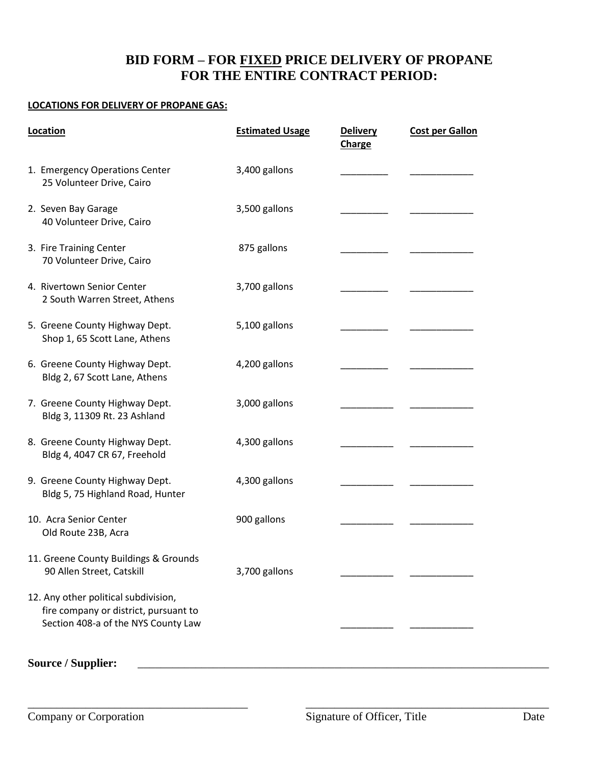# **BID FORM – FOR FIXED PRICE DELIVERY OF PROPANE FOR THE ENTIRE CONTRACT PERIOD:**

#### **LOCATIONS FOR DELIVERY OF PROPANE GAS:**

| Location                                                                                                             | <b>Estimated Usage</b> | <b>Delivery</b><br><b>Charge</b> | <b>Cost per Gallon</b> |
|----------------------------------------------------------------------------------------------------------------------|------------------------|----------------------------------|------------------------|
| 1. Emergency Operations Center<br>25 Volunteer Drive, Cairo                                                          | 3,400 gallons          |                                  |                        |
| 2. Seven Bay Garage<br>40 Volunteer Drive, Cairo                                                                     | 3,500 gallons          |                                  |                        |
| 3. Fire Training Center<br>70 Volunteer Drive, Cairo                                                                 | 875 gallons            |                                  |                        |
| 4. Rivertown Senior Center<br>2 South Warren Street, Athens                                                          | 3,700 gallons          |                                  |                        |
| 5. Greene County Highway Dept.<br>Shop 1, 65 Scott Lane, Athens                                                      | 5,100 gallons          |                                  |                        |
| 6. Greene County Highway Dept.<br>Bldg 2, 67 Scott Lane, Athens                                                      | 4,200 gallons          |                                  |                        |
| 7. Greene County Highway Dept.<br>Bldg 3, 11309 Rt. 23 Ashland                                                       | 3,000 gallons          |                                  |                        |
| 8. Greene County Highway Dept.<br>Bldg 4, 4047 CR 67, Freehold                                                       | 4,300 gallons          |                                  |                        |
| 9. Greene County Highway Dept.<br>Bldg 5, 75 Highland Road, Hunter                                                   | 4,300 gallons          |                                  |                        |
| 10. Acra Senior Center<br>Old Route 23B, Acra                                                                        | 900 gallons            |                                  |                        |
| 11. Greene County Buildings & Grounds<br>90 Allen Street, Catskill                                                   | 3,700 gallons          |                                  |                        |
| 12. Any other political subdivision,<br>fire company or district, pursuant to<br>Section 408-a of the NYS County Law |                        |                                  |                        |

Source / Supplier:

\_\_\_\_\_\_\_\_\_\_\_\_\_\_\_\_\_\_\_\_\_\_\_\_\_\_\_\_\_\_\_\_\_\_\_\_\_\_ \_\_\_\_\_\_\_\_\_\_\_\_\_\_\_\_\_\_\_\_\_\_\_\_\_\_\_\_\_\_\_\_\_\_\_\_\_\_\_\_\_\_